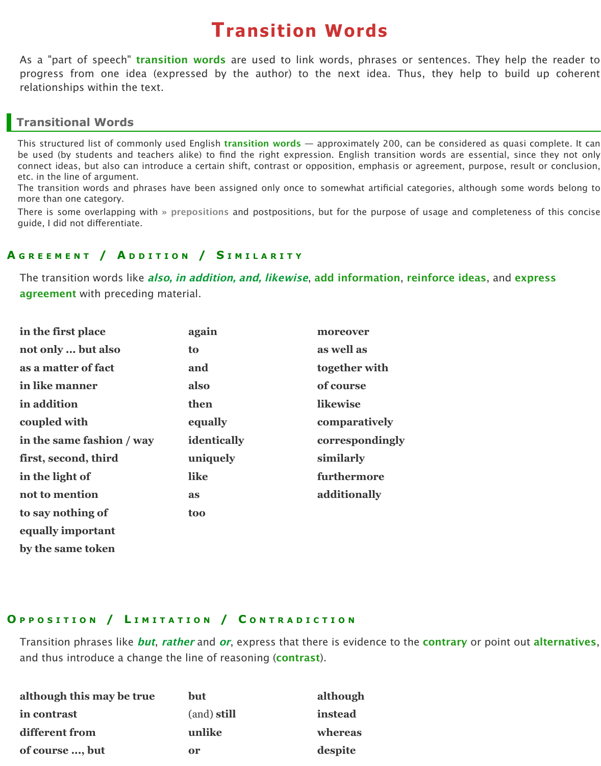guide, I did not diferentiate.

#### **A GREEMENT / A DDITION / S IMILARITY**

The transition words like *also, in addition, and, likewise*, add information, rei **agreement** with preceding material.

| in the first place        | again       | moreover        |
|---------------------------|-------------|-----------------|
| not only  but also        | to          | as well as      |
| as a matter of fact       | and         | together with   |
| in like manner            | also        | of course       |
| in addition               | then        | likewise        |
| coupled with              | equally     | comparatively   |
| in the same fashion / way | identically | correspondingly |
| first, second, third      | uniquely    | similarly       |
| in the light of           | like        | furthermore     |
| not to mention            | as          | additionally    |
| to say nothing of         | <b>too</b>  |                 |
| equally important         |             |                 |
| by the same token         |             |                 |

#### **O PPOSITION / L IMITATION / C ONTRADICTION**

Transition phrases like **but**, **rather** and **or**, express that there is evidence to the and thus introduce a change the line of reasoning (**contrast**).

| although this may be true | <b>but</b>  | although |
|---------------------------|-------------|----------|
| in contrast               | (and) still | instead  |
| different from            | unlike      | whereas  |
| of course , but           | <b>or</b>   | despite  |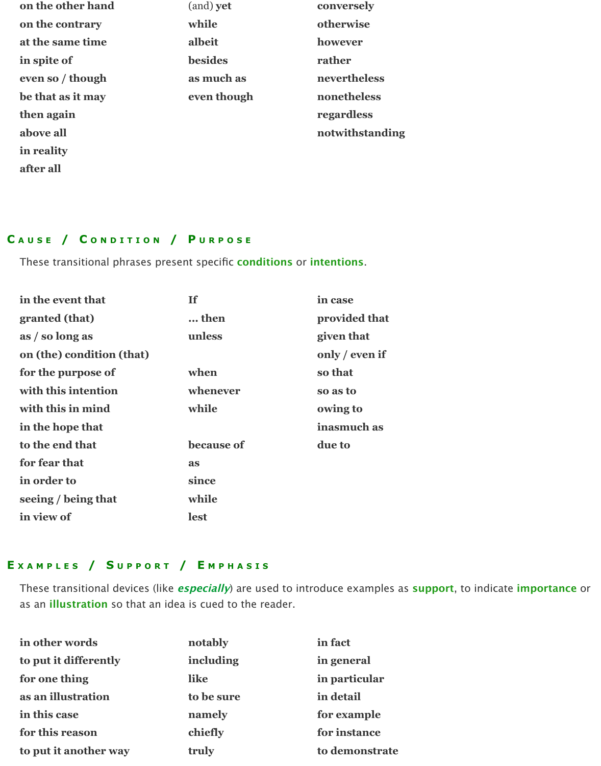| on the other hand | (and) yet      | conversely      |
|-------------------|----------------|-----------------|
| on the contrary   | while          | otherwise       |
| at the same time  | albeit         | however         |
| in spite of       | <b>besides</b> | rather          |
| even so / though  | as much as     | nevertheless    |
| be that as it may | even though    | nonetheless     |
| then again        |                | regardless      |
| above all         |                | notwithstanding |
| in reality        |                |                 |
|                   |                |                 |

## **C AUSE / C ONDITION / P URPOSE**

**after all**

These transitional phrases present specific **conditions** or **intentions**.

| in the event that         | If         | in case        |
|---------------------------|------------|----------------|
| granted (that)            | then       | provided that  |
| as / so long as           | unless     | given that     |
| on (the) condition (that) |            | only / even if |
| for the purpose of        | when       | so that        |
| with this intention       | whenever   | so as to       |
| with this in mind         | while      | owing to       |
| in the hope that          |            | inasmuch as    |
| to the end that           | because of | due to         |
| for fear that             | as         |                |
| in order to               | since      |                |
| seeing / being that       | while      |                |
| in view of                | lest       |                |

# **E XAMPLES / S UPPORT / E MPHASIS**

These transitional devices (like **especially**) are used to introduce examples as **support**, to indicate **importance** or as an **illustration** so that an idea is cued to the reader.

| in other words        | notably    | in fact        |
|-----------------------|------------|----------------|
| to put it differently | including  | in general     |
| for one thing         | like       | in particular  |
| as an illustration    | to be sure | in detail      |
| in this case          | namely     | for example    |
| for this reason       | chiefly    | for instance   |
| to put it another way | truly      | to demonstrate |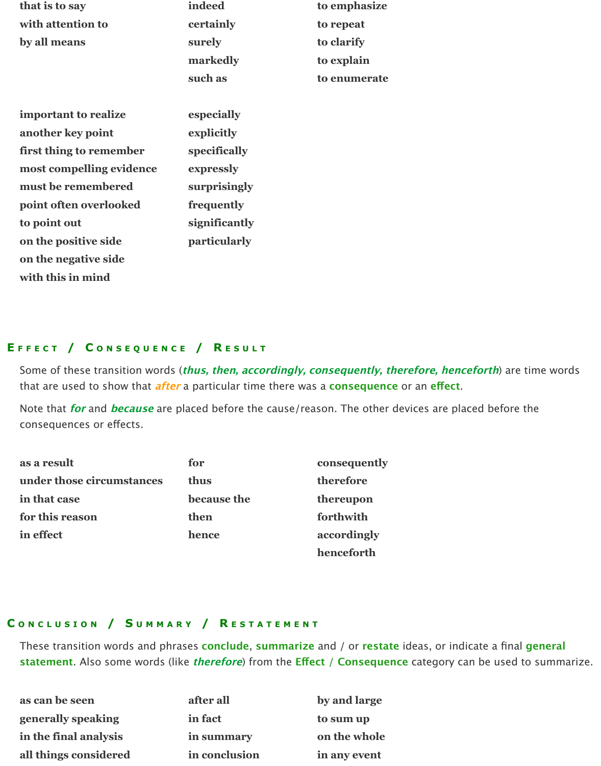| that is to say           | indeed              | to emphasize |
|--------------------------|---------------------|--------------|
| with attention to        | certainly           | to repeat    |
| by all means             | surely              | to clarify   |
|                          | markedly            | to explain   |
|                          | such as             | to enumerate |
|                          |                     |              |
| important to realize     | especially          |              |
| another key point        | explicitly          |              |
| first thing to remember  | specifically        |              |
| most compelling evidence | expressly           |              |
| must be remembered       | surprisingly        |              |
| point often overlooked   | frequently          |              |
| to point out             | significantly       |              |
| on the positive side     | <b>particularly</b> |              |
| on the negative side     |                     |              |
| with this in mind        |                     |              |

## **E FFECT / C ONSEQUENCE / R ESULT**

Some of these transition words (**thus, then, accordingly, consequently, therefore, henceforth**) are time words that are used to show that **after** a particular time there was a **consequence** or an **efect**.

Note that **for** and **because** are placed before the cause/reason. The other devices are placed before the consequences or efects.

| as a result               | for         | consequently |
|---------------------------|-------------|--------------|
| under those circumstances | thus        | therefore    |
| in that case              | because the | thereupon    |
| for this reason           | then        | forthwith    |
| in effect                 | hence       | accordingly  |
|                           |             | henceforth   |

#### **C ONCLUSION / S UMMARY / R ESTATEMENT**

These transition words and phrases **conclude**, **summarize** and / or **restate** ideas, or indicate a final **general statement**. Also some words (like **therefore**) from the **Efect / Consequence** category can be used to summarize.

| as can be seen        | after all     | by and large |
|-----------------------|---------------|--------------|
| generally speaking    | in fact       | to sum up    |
| in the final analysis | in summary    | on the whole |
| all things considered | in conclusion | in any event |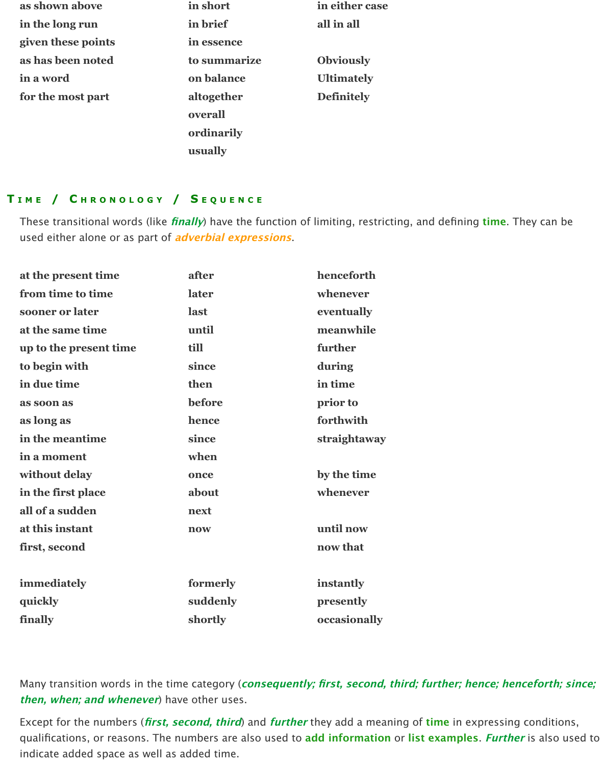| as shown above     | in short     | in either case    |
|--------------------|--------------|-------------------|
| in the long run    | in brief     | all in all        |
| given these points | in essence   |                   |
| as has been noted  | to summarize | <b>Obviously</b>  |
| in a word          | on balance   | <b>Ultimately</b> |
| for the most part  | altogether   | <b>Definitely</b> |
|                    | overall      |                   |
|                    | ordinarily   |                   |
|                    | usually      |                   |

## **T IME / C HRONOLOGY / S EQUENCE**

These transitional words (like **finally**) have the function of limiting, restricting, and defining **time**. They can be used either alone or as part of **adverbial expressions**.

| at the present time    | after    | henceforth   |
|------------------------|----------|--------------|
| from time to time      | later    | whenever     |
| sooner or later        | last     | eventually   |
| at the same time       | until    | meanwhile    |
| up to the present time | till     | further      |
| to begin with          | since    | during       |
| in due time            | then     | in time      |
| as soon as             | before   | prior to     |
| as long as             | hence    | forthwith    |
| in the meantime        | since    | straightaway |
| in a moment            | when     |              |
| without delay          | once     | by the time  |
| in the first place     | about    | whenever     |
| all of a sudden        | next     |              |
| at this instant        | now      | until now    |
| first, second          |          | now that     |
|                        |          |              |
| immediately            | formerly | instantly    |
| quickly                | suddenly | presently    |
| finally                | shortly  | occasionally |

Many transition words in the time category (**consequently; first, second, third; further; hence; henceforth; since; then, when; and whenever**) have other uses.

Except for the numbers (**first, second, third**) and **further** they add a meaning of **time** in expressing conditions, qualifications, or reasons. The numbers are also used to **add information** or **list examples**. **Further** is also used to indicate added space as well as added time.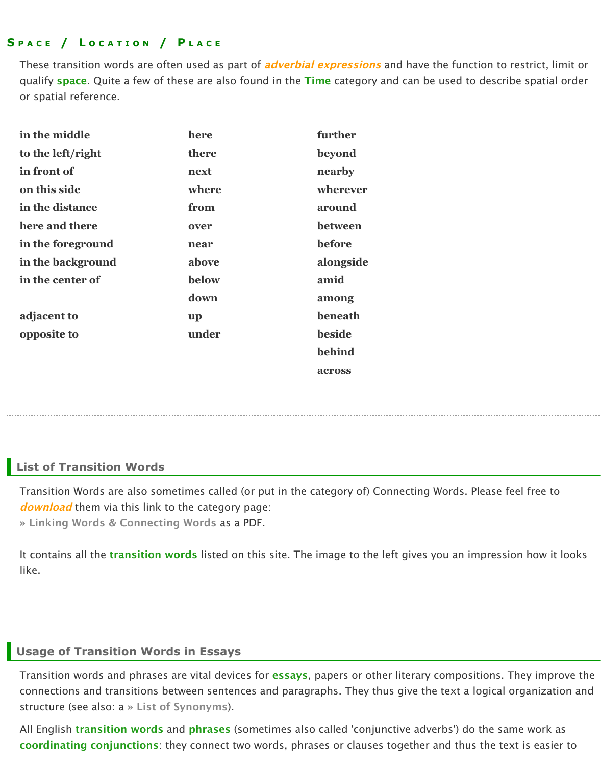| here and there    | over      | between       |
|-------------------|-----------|---------------|
| in the foreground | near      | before        |
| in the background | above     | alongside     |
| in the center of  | below     | amid          |
|                   | down      | among         |
| adjacent to       | <b>up</b> | beneath       |
| opposite to       | under     | <b>beside</b> |
|                   |           | behind        |
|                   |           | across        |
|                   |           |               |

# **List of Transition Words**

Transition Words are also sometimes called (or put in the category of) Connectir *download* them via this link to the category page:

**» Linking Words & Connecting Words** as a PDF.

It contains all the **transition words** listed on this site. The image to the left give like.

### **Usage of Transition Words in Essays**

Transition words and phrases are vital devices for **essays**, papers or other litera connections and transitions between sentences and paragraphs. They thus give structure (see also: a **» List of Synonyms**).

All English *transition words* and *phrases* (sometimes also called 'conjunctive adverting **[coordinating conjunctions](http://www.smart-words.org/linking-words/#download)**: they connect two words, phrases or clauses together